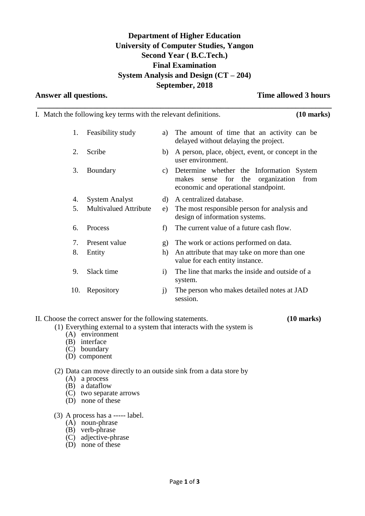# **Department of Higher Education University of Computer Studies, Yangon Second Year ( B.C.Tech.) Final Examination System Analysis and Design (CT – 204) September, 2018**

**\_\_\_\_\_\_\_\_\_\_\_\_\_\_\_\_\_\_\_\_\_\_\_\_\_\_\_\_\_\_\_\_\_\_\_\_\_\_\_\_\_\_\_\_\_\_\_\_\_\_\_\_\_\_\_\_\_\_\_\_\_\_\_\_\_\_\_\_\_\_\_\_\_\_**

**Answer all questions. Time allowed 3 hours**

|     | I. Match the following key terms with the relevant definitions. |              | $(10 \text{ marks})$                                                                                                               |
|-----|-----------------------------------------------------------------|--------------|------------------------------------------------------------------------------------------------------------------------------------|
| 1.  | Feasibility study                                               | a)           | The amount of time that an activity can be<br>delayed without delaying the project.                                                |
| 2.  | Scribe                                                          | b)           | A person, place, object, event, or concept in the<br>user environment.                                                             |
| 3.  | Boundary                                                        | C)           | Determine whether the Information System<br>organization<br>sense for the<br>makes<br>from<br>economic and operational standpoint. |
| 4.  | <b>System Analyst</b>                                           | d)           | A centralized database.                                                                                                            |
| 5.  | <b>Multivalued Attribute</b>                                    | e)           | The most responsible person for analysis and<br>design of information systems.                                                     |
| 6.  | Process                                                         | f            | The current value of a future cash flow.                                                                                           |
| 7.  | Present value                                                   | g)           | The work or actions performed on data.                                                                                             |
| 8.  | Entity                                                          | h)           | An attribute that may take on more than one<br>value for each entity instance.                                                     |
| 9.  | Slack time                                                      | $\mathbf{i}$ | The line that marks the inside and outside of a<br>system.                                                                         |
| 10. | Repository                                                      | j)           | The person who makes detailed notes at JAD<br>session.                                                                             |

II. Choose the correct answer for the following statements. **(10 marks)**

- (1) Everything external to a system that interacts with the system is
	- (A) environment
	- (B) interface
	- (C) boundary
	- (D) component

# (2) Data can move directly to an outside sink from a data store by

- (A) a process
- (B) a dataflow
- (C) two separate arrows
- (D) none of these
- (3) A process has a ----- label.
	- (A) noun-phrase
	- (B) verb-phrase
	- (C) adjective-phrase
	- (D) none of these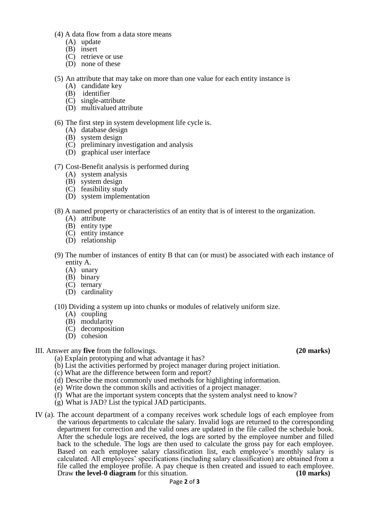- (4) A data flow from a data store means
	- (A) update
	- (B) insert
	- (C) retrieve or use
	- (D) none of these
- (5) An attribute that may take on more than one value for each entity instance is
	- (A) candidate key
	- (B) identifier
	- (C) single-attribute
	- (D) multivalued attribute

## (6) The first step in system development life cycle is.

- (A) database design
- (B) system design
- (C) preliminary investigation and analysis
- (D) graphical user interface
- (7) Cost-Benefit analysis is performed during
	- (A) system analysis
	- (B) system design
	- (C) feasibility study
	- (D) system implementation
- (8) A named property or characteristics of an entity that is of interest to the organization.
	- (A) attribute
	- (B) entity type
	- (C) entity instance
	- (D) relationship
- (9) The number of instances of entity B that can (or must) be associated with each instance of entity A.
	- (A) unary
	- (B) binary
	- (C) ternary
	- (D) cardinality
- (10) Dividing a system up into chunks or modules of relatively uniform size.
	- (A) coupling
	- (B) modularity
	- (C) decomposition
	- (D) cohesion

## III. Answer any **five** from the followings. **(20 marks)**

- (a) Explain prototyping and what advantage it has?
- (b) List the activities performed by project manager during project initiation.
- (c) What are the difference between form and report?
- (d) Describe the most commonly used methods for highlighting information.
- (e) Write down the common skills and activities of a project manager.
- (f) What are the important system concepts that the system analyst need to know?
- (g) What is JAD? List the typical JAD participants.
- IV (a). The account department of a company receives work schedule logs of each employee from the various departments to calculate the salary. Invalid logs are returned to the corresponding department for correction and the valid ones are updated in the file called the schedule book. After the schedule logs are received, the logs are sorted by the employee number and filled back to the schedule. The logs are then used to calculate the gross pay for each employee. Based on each employee salary classification list, each employee's monthly salary is calculated. All employees' specifications (including salary classification) are obtained from a file called the employee profile. A pay cheque is then created and issued to each employee.<br>Draw **the level-0 diagram** for this situation. (10 marks) Draw **the level-0 diagram** for this situation.